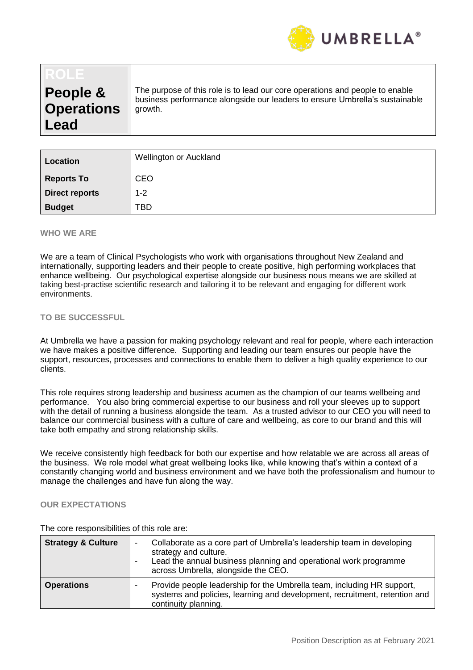

# **People & Operations Lead**

The purpose of this role is to lead our core operations and people to enable business performance alongside our leaders to ensure Umbrella's sustainable growth.

| Location              | Wellington or Auckland |
|-----------------------|------------------------|
| <b>Reports To</b>     | <b>CEO</b>             |
| <b>Direct reports</b> | $1 - 2$                |
| <b>Budget</b>         | TBD                    |

### **WHO WE ARE**

We are a team of Clinical Psychologists who work with organisations throughout New Zealand and internationally, supporting leaders and their people to create positive, high performing workplaces that enhance wellbeing. Our psychological expertise alongside our business nous means we are skilled at taking best-practise scientific research and tailoring it to be relevant and engaging for different work environments.

#### **TO BE SUCCESSFUL**

At Umbrella we have a passion for making psychology relevant and real for people, where each interaction we have makes a positive difference. Supporting and leading our team ensures our people have the support, resources, processes and connections to enable them to deliver a high quality experience to our clients.

This role requires strong leadership and business acumen as the champion of our teams wellbeing and performance. You also bring commercial expertise to our business and roll your sleeves up to support with the detail of running a business alongside the team. As a trusted advisor to our CEO you will need to balance our commercial business with a culture of care and wellbeing, as core to our brand and this will take both empathy and strong relationship skills.

We receive consistently high feedback for both our expertise and how relatable we are across all areas of the business. We role model what great wellbeing looks like, while knowing that's within a context of a constantly changing world and business environment and we have both the professionalism and humour to manage the challenges and have fun along the way.

### **OUR EXPECTATIONS**

| <b>Strategy &amp; Culture</b> | Collaborate as a core part of Umbrella's leadership team in developing<br>strategy and culture.<br>Lead the annual business planning and operational work programme<br>across Umbrella, alongside the CEO. |
|-------------------------------|------------------------------------------------------------------------------------------------------------------------------------------------------------------------------------------------------------|
| <b>Operations</b>             | Provide people leadership for the Umbrella team, including HR support,<br>systems and policies, learning and development, recruitment, retention and<br>continuity planning.                               |

The core responsibilities of this role are: